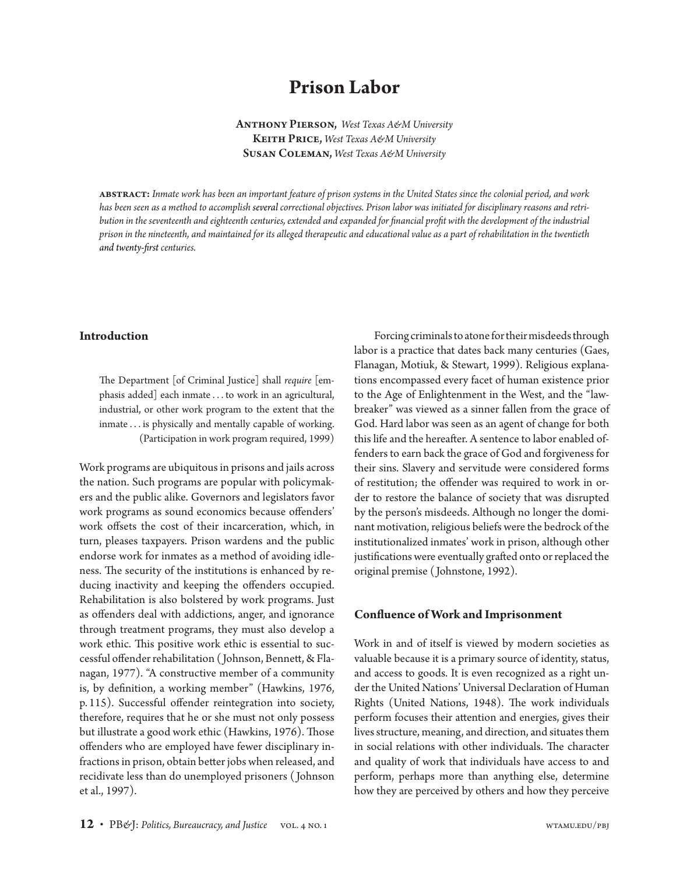# **Prison Labor**

Anthony Pierson, *West Texas A&M University* Keith Price, *West Texas A&M University* Susan Coleman, *West Texas A&M University*

abstract: *Inmate work has been an important feature of prison systems in the United States since the colonial period, and work has been seen as a method to accomplish several correctional objectives. Prison labor was initiated for disciplinary reasons and retribution in the seventeenth and eighteenth centuries, extended and expanded for financial profit with the development of the industrial prison in the nineteenth, and maintained for its alleged therapeutic and educational value as a part of rehabilitation in the twentieth and twenty-first centuries.*

#### **Introduction**

The Department [of Criminal Justice] shall *require* [emphasis added] each inmate . . . to work in an agricultural, industrial, or other work program to the extent that the inmate . . . is physically and mentally capable of working. (Participation in work program required, 1999)

Work programs are ubiquitous in prisons and jails across the nation. Such programs are popular with policymakers and the public alike. Governors and legislators favor work programs as sound economics because offenders' work offsets the cost of their incarceration, which, in turn, pleases taxpayers. Prison wardens and the public endorse work for inmates as a method of avoiding idleness. The security of the institutions is enhanced by reducing inactivity and keeping the offenders occupied. Rehabilitation is also bolstered by work programs. Just as offenders deal with addictions, anger, and ignorance through treatment programs, they must also develop a work ethic. This positive work ethic is essential to successful offender rehabilitation ( Johnson, Bennett, & Flanagan, 1977). "A constructive member of a community is, by definition, a working member" (Hawkins, 1976, p. 115). Successful offender reintegration into society, therefore, requires that he or she must not only possess but illustrate a good work ethic (Hawkins, 1976). Those offenders who are employed have fewer disciplinary infractions in prison, obtain better jobs when released, and recidivate less than do unemployed prisoners ( Johnson et al., 1997).

Forcing criminals to atone for their misdeeds through labor is a practice that dates back many centuries (Gaes, Flanagan, Motiuk, & Stewart, 1999). Religious explanations encompassed every facet of human existence prior to the Age of Enlightenment in the West, and the "lawbreaker" was viewed as a sinner fallen from the grace of God. Hard labor was seen as an agent of change for both this life and the hereafter. A sentence to labor enabled offenders to earn back the grace of God and forgiveness for their sins. Slavery and servitude were considered forms of restitution; the offender was required to work in order to restore the balance of society that was disrupted by the person's misdeeds. Although no longer the dominant motivation, religious beliefs were the bedrock of the institutionalized inmates' work in prison, although other justifications were eventually grafted onto or replaced the original premise ( Johnstone, 1992).

#### **Confluence of Work and Imprisonment**

Work in and of itself is viewed by modern societies as valuable because it is a primary source of identity, status, and access to goods. It is even recognized as a right under the United Nations' Universal Declaration of Human Rights (United Nations, 1948). The work individuals perform focuses their attention and energies, gives their lives structure, meaning, and direction, and situates them in social relations with other individuals. The character and quality of work that individuals have access to and perform, perhaps more than anything else, determine how they are perceived by others and how they perceive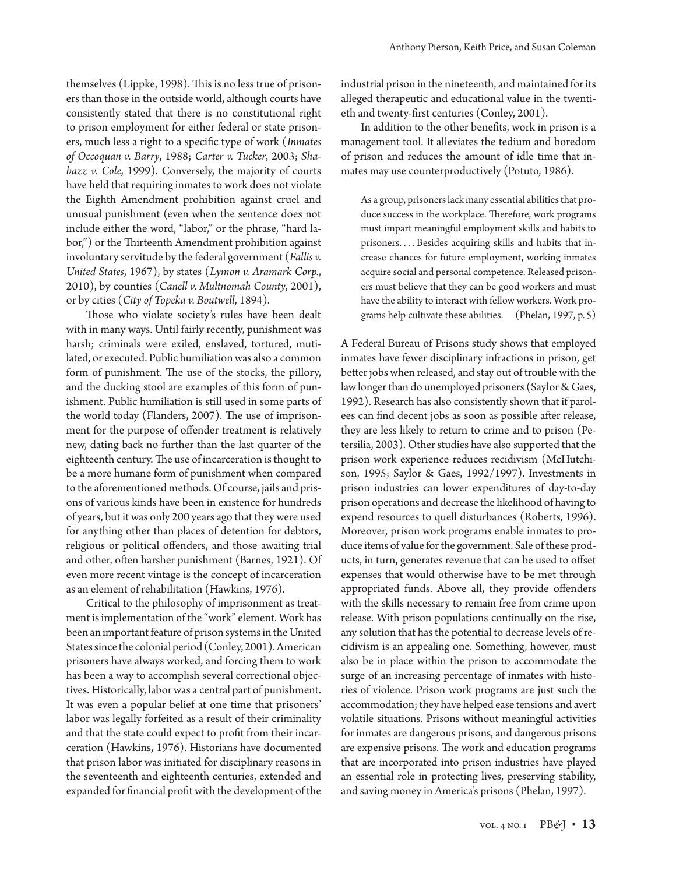themselves (Lippke, 1998). This is no less true of prisoners than those in the outside world, although courts have consistently stated that there is no constitutional right to prison employment for either federal or state prisoners, much less a right to a specific type of work (*Inmates of Occoquan v. Barry*, 1988; *Carter v. Tucker*, 2003; *Shabazz v. Cole*, 1999). Conversely, the majority of courts have held that requiring inmates to work does not violate the Eighth Amendment prohibition against cruel and unusual punishment (even when the sentence does not include either the word, "labor," or the phrase, "hard labor,") or the Thirteenth Amendment prohibition against involuntary servitude by the federal government (*Fallis v. United States*, 1967), by states (*Lymon v. Aramark Corp.*, 2010), by counties (*Canell v. Multnomah County*, 2001), or by cities (*City of Topeka v. Boutwell*, 1894).

Those who violate society's rules have been dealt with in many ways. Until fairly recently, punishment was harsh; criminals were exiled, enslaved, tortured, mutilated, or executed. Public humiliation was also a common form of punishment. The use of the stocks, the pillory, and the ducking stool are examples of this form of punishment. Public humiliation is still used in some parts of the world today (Flanders, 2007). The use of imprisonment for the purpose of offender treatment is relatively new, dating back no further than the last quarter of the eighteenth century. The use of incarceration is thought to be a more humane form of punishment when compared to the aforementioned methods. Of course, jails and prisons of various kinds have been in existence for hundreds of years, but it was only 200 years ago that they were used for anything other than places of detention for debtors, religious or political offenders, and those awaiting trial and other, often harsher punishment (Barnes, 1921). Of even more recent vintage is the concept of incarceration as an element of rehabilitation (Hawkins, 1976).

Critical to the philosophy of imprisonment as treatment is implementation of the "work" element. Work has been an important feature of prison systems in the United States since the colonial period (Conley, 2001). American prisoners have always worked, and forcing them to work has been a way to accomplish several correctional objectives. Historically, labor was a central part of punishment. It was even a popular belief at one time that prisoners' labor was legally forfeited as a result of their criminality and that the state could expect to profit from their incarceration (Hawkins, 1976). Historians have documented that prison labor was initiated for disciplinary reasons in the seventeenth and eighteenth centuries, extended and expanded for financial profit with the development of the

industrial prison in the nineteenth, and maintained for its alleged therapeutic and educational value in the twentieth and twenty-first centuries (Conley, 2001).

In addition to the other benefits, work in prison is a management tool. It alleviates the tedium and boredom of prison and reduces the amount of idle time that inmates may use counterproductively (Potuto, 1986).

As a group, prisoners lack many essential abilities that produce success in the workplace. Therefore, work programs must impart meaningful employment skills and habits to prisoners. . . . Besides acquiring skills and habits that increase chances for future employment, working inmates acquire social and personal competence. Released prisoners must believe that they can be good workers and must have the ability to interact with fellow workers. Work programs help cultivate these abilities. (Phelan, 1997, p. 5)

A Federal Bureau of Prisons study shows that employed inmates have fewer disciplinary infractions in prison, get better jobs when released, and stay out of trouble with the law longer than do unemployed prisoners (Saylor & Gaes, 1992). Research has also consistently shown that if parolees can find decent jobs as soon as possible after release, they are less likely to return to crime and to prison (Petersilia, 2003). Other studies have also supported that the prison work experience reduces recidivism (McHutchison, 1995; Saylor & Gaes, 1992/1997). Investments in prison industries can lower expenditures of day-to-day prison operations and decrease the likelihood of having to expend resources to quell disturbances (Roberts, 1996). Moreover, prison work programs enable inmates to produce items of value for the government. Sale of these products, in turn, generates revenue that can be used to offset expenses that would otherwise have to be met through appropriated funds. Above all, they provide offenders with the skills necessary to remain free from crime upon release. With prison populations continually on the rise, any solution that has the potential to decrease levels of recidivism is an appealing one. Something, however, must also be in place within the prison to accommodate the surge of an increasing percentage of inmates with histories of violence. Prison work programs are just such the accommodation; they have helped ease tensions and avert volatile situations. Prisons without meaningful activities for inmates are dangerous prisons, and dangerous prisons are expensive prisons. The work and education programs that are incorporated into prison industries have played an essential role in protecting lives, preserving stability, and saving money in America's prisons (Phelan, 1997).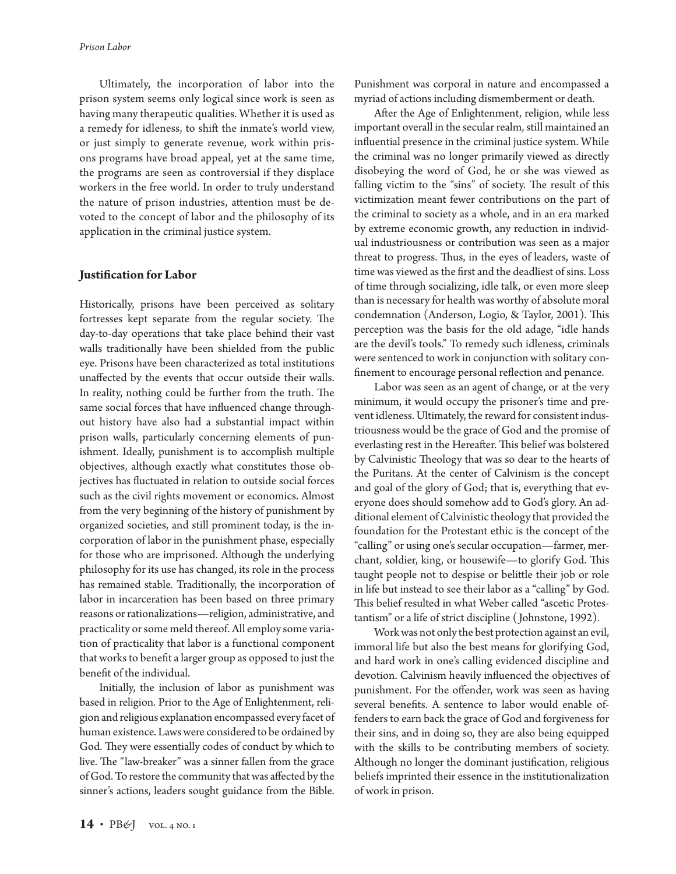Ultimately, the incorporation of labor into the prison system seems only logical since work is seen as having many therapeutic qualities. Whether it is used as a remedy for idleness, to shift the inmate's world view, or just simply to generate revenue, work within prisons programs have broad appeal, yet at the same time, the programs are seen as controversial if they displace workers in the free world. In order to truly understand the nature of prison industries, attention must be devoted to the concept of labor and the philosophy of its application in the criminal justice system.

### **Justification for Labor**

Historically, prisons have been perceived as solitary fortresses kept separate from the regular society. The day-to-day operations that take place behind their vast walls traditionally have been shielded from the public eye. Prisons have been characterized as total institutions unaffected by the events that occur outside their walls. In reality, nothing could be further from the truth. The same social forces that have influenced change throughout history have also had a substantial impact within prison walls, particularly concerning elements of punishment. Ideally, punishment is to accomplish multiple objectives, although exactly what constitutes those objectives has fluctuated in relation to outside social forces such as the civil rights movement or economics. Almost from the very beginning of the history of punishment by organized societies, and still prominent today, is the incorporation of labor in the punishment phase, especially for those who are imprisoned. Although the underlying philosophy for its use has changed, its role in the process has remained stable. Traditionally, the incorporation of labor in incarceration has been based on three primary reasons or rationalizations—religion, administrative, and practicality or some meld thereof. All employ some variation of practicality that labor is a functional component that works to benefit a larger group as opposed to just the benefit of the individual.

Initially, the inclusion of labor as punishment was based in religion. Prior to the Age of Enlightenment, religion and religious explanation encompassed every facet of human existence. Laws were considered to be ordained by God. They were essentially codes of conduct by which to live. The "law-breaker" was a sinner fallen from the grace of God. To restore the community that was affected by the sinner's actions, leaders sought guidance from the Bible.

Punishment was corporal in nature and encompassed a myriad of actions including dismemberment or death.

After the Age of Enlightenment, religion, while less important overall in the secular realm, still maintained an influential presence in the criminal justice system. While the criminal was no longer primarily viewed as directly disobeying the word of God, he or she was viewed as falling victim to the "sins" of society. The result of this victimization meant fewer contributions on the part of the criminal to society as a whole, and in an era marked by extreme economic growth, any reduction in individual industriousness or contribution was seen as a major threat to progress. Thus, in the eyes of leaders, waste of time was viewed as the first and the deadliest of sins. Loss of time through socializing, idle talk, or even more sleep than is necessary for health was worthy of absolute moral condemnation (Anderson, Logio, & Taylor, 2001). This perception was the basis for the old adage, "idle hands are the devil's tools." To remedy such idleness, criminals were sentenced to work in conjunction with solitary confinement to encourage personal reflection and penance.

Labor was seen as an agent of change, or at the very minimum, it would occupy the prisoner's time and prevent idleness. Ultimately, the reward for consistent industriousness would be the grace of God and the promise of everlasting rest in the Hereafter. This belief was bolstered by Calvinistic Theology that was so dear to the hearts of the Puritans. At the center of Calvinism is the concept and goal of the glory of God; that is, everything that everyone does should somehow add to God's glory. An additional element of Calvinistic theology that provided the foundation for the Protestant ethic is the concept of the "calling" or using one's secular occupation—farmer, merchant, soldier, king, or housewife—to glorify God. This taught people not to despise or belittle their job or role in life but instead to see their labor as a "calling" by God. This belief resulted in what Weber called "ascetic Protestantism" or a life of strict discipline ( Johnstone, 1992).

Work was not only the best protection against an evil, immoral life but also the best means for glorifying God, and hard work in one's calling evidenced discipline and devotion. Calvinism heavily influenced the objectives of punishment. For the offender, work was seen as having several benefits. A sentence to labor would enable offenders to earn back the grace of God and forgiveness for their sins, and in doing so, they are also being equipped with the skills to be contributing members of society. Although no longer the dominant justification, religious beliefs imprinted their essence in the institutionalization of work in prison.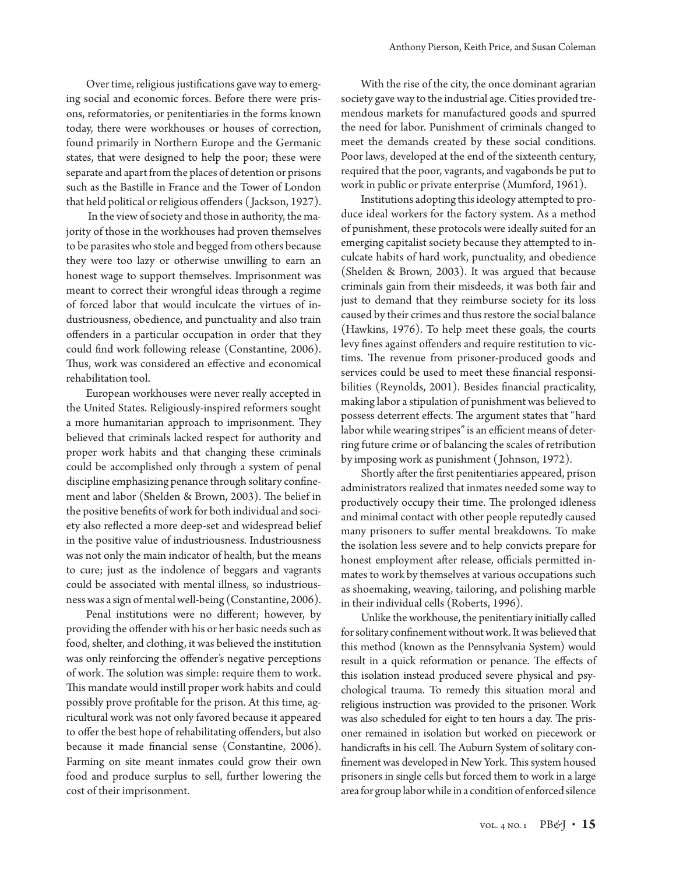Over time, religious justifications gave way to emerging social and economic forces. Before there were prisons, reformatories, or penitentiaries in the forms known today, there were workhouses or houses of correction, found primarily in Northern Europe and the Germanic states, that were designed to help the poor; these were separate and apart from the places of detention or prisons such as the Bastille in France and the Tower of London that held political or religious offenders ( Jackson, 1927).

 In the view of society and those in authority, the majority of those in the workhouses had proven themselves to be parasites who stole and begged from others because they were too lazy or otherwise unwilling to earn an honest wage to support themselves. Imprisonment was meant to correct their wrongful ideas through a regime of forced labor that would inculcate the virtues of industriousness, obedience, and punctuality and also train offenders in a particular occupation in order that they could find work following release (Constantine, 2006). Thus, work was considered an effective and economical rehabilitation tool.

European workhouses were never really accepted in the United States. Religiously-inspired reformers sought a more humanitarian approach to imprisonment. They believed that criminals lacked respect for authority and proper work habits and that changing these criminals could be accomplished only through a system of penal discipline emphasizing penance through solitary confinement and labor (Shelden & Brown, 2003). The belief in the positive benefits of work for both individual and society also reflected a more deep-set and widespread belief in the positive value of industriousness. Industriousness was not only the main indicator of health, but the means to cure; just as the indolence of beggars and vagrants could be associated with mental illness, so industriousness was a sign of mental well-being (Constantine, 2006).

Penal institutions were no different; however, by providing the offender with his or her basic needs such as food, shelter, and clothing, it was believed the institution was only reinforcing the offender's negative perceptions of work. The solution was simple: require them to work. This mandate would instill proper work habits and could possibly prove profitable for the prison. At this time, agricultural work was not only favored because it appeared to offer the best hope of rehabilitating offenders, but also because it made financial sense (Constantine, 2006). Farming on site meant inmates could grow their own food and produce surplus to sell, further lowering the cost of their imprisonment.

With the rise of the city, the once dominant agrarian society gave way to the industrial age. Cities provided tremendous markets for manufactured goods and spurred the need for labor. Punishment of criminals changed to meet the demands created by these social conditions. Poor laws, developed at the end of the sixteenth century, required that the poor, vagrants, and vagabonds be put to work in public or private enterprise (Mumford, 1961).

Institutions adopting this ideology attempted to produce ideal workers for the factory system. As a method of punishment, these protocols were ideally suited for an emerging capitalist society because they attempted to inculcate habits of hard work, punctuality, and obedience (Shelden & Brown, 2003). It was argued that because criminals gain from their misdeeds, it was both fair and just to demand that they reimburse society for its loss caused by their crimes and thus restore the social balance (Hawkins, 1976). To help meet these goals, the courts levy fines against offenders and require restitution to victims. The revenue from prisoner-produced goods and services could be used to meet these financial responsibilities (Reynolds, 2001). Besides financial practicality, making labor a stipulation of punishment was believed to possess deterrent effects. The argument states that "hard labor while wearing stripes" is an efficient means of deterring future crime or of balancing the scales of retribution by imposing work as punishment ( Johnson, 1972).

Shortly after the first penitentiaries appeared, prison administrators realized that inmates needed some way to productively occupy their time. The prolonged idleness and minimal contact with other people reputedly caused many prisoners to suffer mental breakdowns. To make the isolation less severe and to help convicts prepare for honest employment after release, officials permitted inmates to work by themselves at various occupations such as shoemaking, weaving, tailoring, and polishing marble in their individual cells (Roberts, 1996).

Unlike the workhouse, the penitentiary initially called for solitary confinement without work. It was believed that this method (known as the Pennsylvania System) would result in a quick reformation or penance. The effects of this isolation instead produced severe physical and psychological trauma. To remedy this situation moral and religious instruction was provided to the prisoner. Work was also scheduled for eight to ten hours a day. The prisoner remained in isolation but worked on piecework or handicrafts in his cell. The Auburn System of solitary confinement was developed in New York. This system housed prisoners in single cells but forced them to work in a large area for group labor while in a condition of enforced silence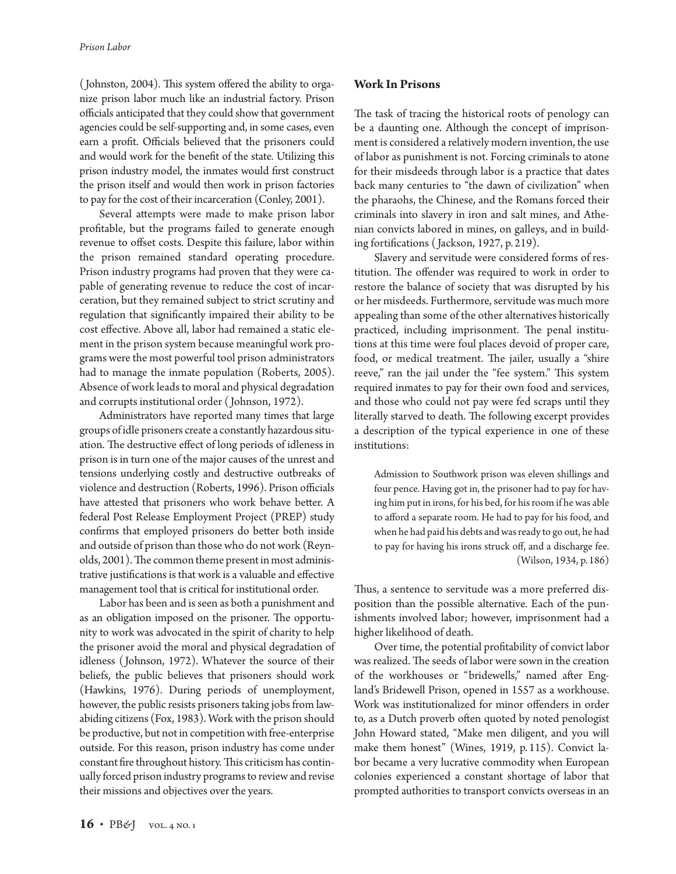( Johnston, 2004). This system offered the ability to organize prison labor much like an industrial factory. Prison officials anticipated that they could show that government agencies could be self-supporting and, in some cases, even earn a profit. Officials believed that the prisoners could and would work for the benefit of the state. Utilizing this prison industry model, the inmates would first construct the prison itself and would then work in prison factories to pay for the cost of their incarceration (Conley, 2001).

Several attempts were made to make prison labor profitable, but the programs failed to generate enough revenue to offset costs. Despite this failure, labor within the prison remained standard operating procedure. Prison industry programs had proven that they were capable of generating revenue to reduce the cost of incarceration, but they remained subject to strict scrutiny and regulation that significantly impaired their ability to be cost effective. Above all, labor had remained a static element in the prison system because meaningful work programs were the most powerful tool prison administrators had to manage the inmate population (Roberts, 2005). Absence of work leads to moral and physical degradation and corrupts institutional order ( Johnson, 1972).

Administrators have reported many times that large groups of idle prisoners create a constantly hazardous situation. The destructive effect of long periods of idleness in prison is in turn one of the major causes of the unrest and tensions underlying costly and destructive outbreaks of violence and destruction (Roberts, 1996). Prison officials have attested that prisoners who work behave better. A federal Post Release Employment Project (PREP) study confirms that employed prisoners do better both inside and outside of prison than those who do not work (Reynolds, 2001). The common theme present in most administrative justifications is that work is a valuable and effective management tool that is critical for institutional order.

Labor has been and is seen as both a punishment and as an obligation imposed on the prisoner. The opportunity to work was advocated in the spirit of charity to help the prisoner avoid the moral and physical degradation of idleness ( Johnson, 1972). Whatever the source of their beliefs, the public believes that prisoners should work (Hawkins, 1976). During periods of unemployment, however, the public resists prisoners taking jobs from lawabiding citizens (Fox, 1983). Work with the prison should be productive, but not in competition with free-enterprise outside. For this reason, prison industry has come under constant fire throughout history. This criticism has continually forced prison industry programs to review and revise their missions and objectives over the years.

# **Work In Prisons**

The task of tracing the historical roots of penology can be a daunting one. Although the concept of imprisonment is considered a relatively modern invention, the use of labor as punishment is not. Forcing criminals to atone for their misdeeds through labor is a practice that dates back many centuries to "the dawn of civilization" when the pharaohs, the Chinese, and the Romans forced their criminals into slavery in iron and salt mines, and Athenian convicts labored in mines, on galleys, and in building fortifications ( Jackson, 1927, p. 219).

Slavery and servitude were considered forms of restitution. The offender was required to work in order to restore the balance of society that was disrupted by his or her misdeeds. Furthermore, servitude was much more appealing than some of the other alternatives historically practiced, including imprisonment. The penal institutions at this time were foul places devoid of proper care, food, or medical treatment. The jailer, usually a "shire reeve," ran the jail under the "fee system." This system required inmates to pay for their own food and services, and those who could not pay were fed scraps until they literally starved to death. The following excerpt provides a description of the typical experience in one of these institutions:

Admission to Southwork prison was eleven shillings and four pence. Having got in, the prisoner had to pay for having him put in irons, for his bed, for his room if he was able to afford a separate room. He had to pay for his food, and when he had paid his debts and was ready to go out, he had to pay for having his irons struck off, and a discharge fee. (Wilson, 1934, p. 186)

Thus, a sentence to servitude was a more preferred disposition than the possible alternative. Each of the punishments involved labor; however, imprisonment had a higher likelihood of death.

Over time, the potential profitability of convict labor was realized. The seeds of labor were sown in the creation of the workhouses or "bridewells," named after England's Bridewell Prison, opened in 1557 as a workhouse. Work was institutionalized for minor offenders in order to, as a Dutch proverb often quoted by noted penologist John Howard stated, "Make men diligent, and you will make them honest" (Wines, 1919, p.115). Convict labor became a very lucrative commodity when European colonies experienced a constant shortage of labor that prompted authorities to transport convicts overseas in an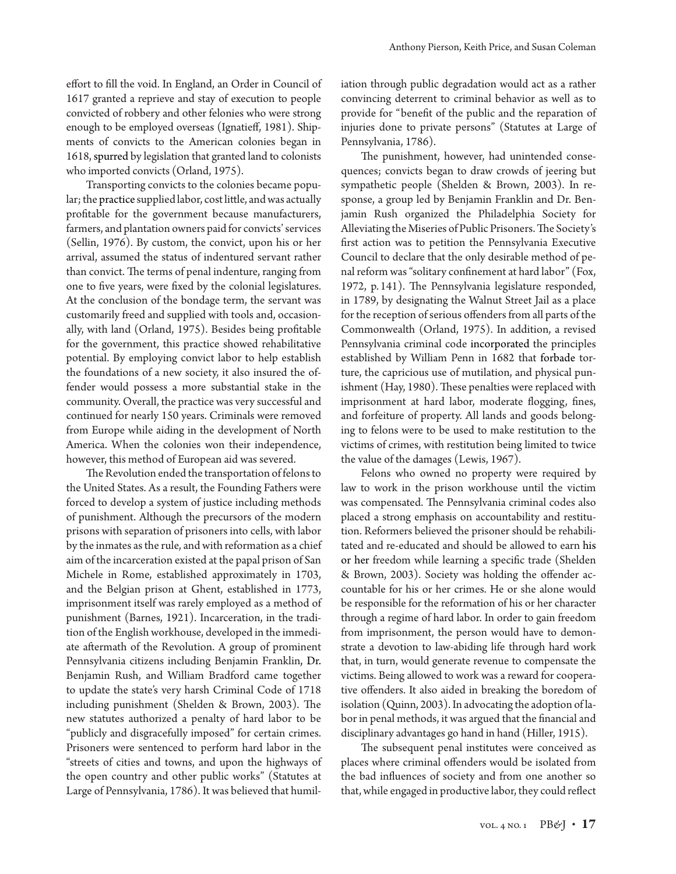effort to fill the void. In England, an Order in Council of 1617 granted a reprieve and stay of execution to people convicted of robbery and other felonies who were strong enough to be employed overseas (Ignatieff, 1981). Shipments of convicts to the American colonies began in 1618, spurred by legislation that granted land to colonists who imported convicts (Orland, 1975).

Transporting convicts to the colonies became popular; the practice supplied labor, cost little, and was actually profitable for the government because manufacturers, farmers, and plantation owners paid for convicts' services (Sellin, 1976). By custom, the convict, upon his or her arrival, assumed the status of indentured servant rather than convict. The terms of penal indenture, ranging from one to five years, were fixed by the colonial legislatures. At the conclusion of the bondage term, the servant was customarily freed and supplied with tools and, occasionally, with land (Orland, 1975). Besides being profitable for the government, this practice showed rehabilitative potential. By employing convict labor to help establish the foundations of a new society, it also insured the offender would possess a more substantial stake in the community. Overall, the practice was very successful and continued for nearly 150 years. Criminals were removed from Europe while aiding in the development of North America. When the colonies won their independence, however, this method of European aid was severed.

The Revolution ended the transportation of felons to the United States. As a result, the Founding Fathers were forced to develop a system of justice including methods of punishment. Although the precursors of the modern prisons with separation of prisoners into cells, with labor by the inmates as the rule, and with reformation as a chief aim of the incarceration existed at the papal prison of San Michele in Rome, established approximately in 1703, and the Belgian prison at Ghent, established in 1773, imprisonment itself was rarely employed as a method of punishment (Barnes, 1921). Incarceration, in the tradition of the English workhouse, developed in the immediate aftermath of the Revolution. A group of prominent Pennsylvania citizens including Benjamin Franklin, Dr. Benjamin Rush, and William Bradford came together to update the state's very harsh Criminal Code of 1718 including punishment (Shelden & Brown, 2003). The new statutes authorized a penalty of hard labor to be "publicly and disgracefully imposed" for certain crimes. Prisoners were sentenced to perform hard labor in the "streets of cities and towns, and upon the highways of the open country and other public works" (Statutes at Large of Pennsylvania, 1786). It was believed that humiliation through public degradation would act as a rather convincing deterrent to criminal behavior as well as to provide for "benefit of the public and the reparation of injuries done to private persons" (Statutes at Large of Pennsylvania, 1786).

The punishment, however, had unintended consequences; convicts began to draw crowds of jeering but sympathetic people (Shelden & Brown, 2003). In response, a group led by Benjamin Franklin and Dr. Benjamin Rush organized the Philadelphia Society for Alleviating the Miseries of Public Prisoners. The Society's first action was to petition the Pennsylvania Executive Council to declare that the only desirable method of penal reform was "solitary confinement at hard labor" (Fox, 1972, p. 141). The Pennsylvania legislature responded, in 1789, by designating the Walnut Street Jail as a place for the reception of serious offenders from all parts of the Commonwealth (Orland, 1975). In addition, a revised Pennsylvania criminal code incorporated the principles established by William Penn in 1682 that forbade torture, the capricious use of mutilation, and physical punishment (Hay, 1980). These penalties were replaced with imprisonment at hard labor, moderate flogging, fines, and forfeiture of property. All lands and goods belonging to felons were to be used to make restitution to the victims of crimes, with restitution being limited to twice the value of the damages (Lewis, 1967).

Felons who owned no property were required by law to work in the prison workhouse until the victim was compensated. The Pennsylvania criminal codes also placed a strong emphasis on accountability and restitution. Reformers believed the prisoner should be rehabilitated and re-educated and should be allowed to earn his or her freedom while learning a specific trade (Shelden & Brown, 2003). Society was holding the offender accountable for his or her crimes. He or she alone would be responsible for the reformation of his or her character through a regime of hard labor. In order to gain freedom from imprisonment, the person would have to demonstrate a devotion to law-abiding life through hard work that, in turn, would generate revenue to compensate the victims. Being allowed to work was a reward for cooperative offenders. It also aided in breaking the boredom of isolation (Quinn, 2003). In advocating the adoption of labor in penal methods, it was argued that the financial and disciplinary advantages go hand in hand (Hiller, 1915).

The subsequent penal institutes were conceived as places where criminal offenders would be isolated from the bad influences of society and from one another so that, while engaged in productive labor, they could reflect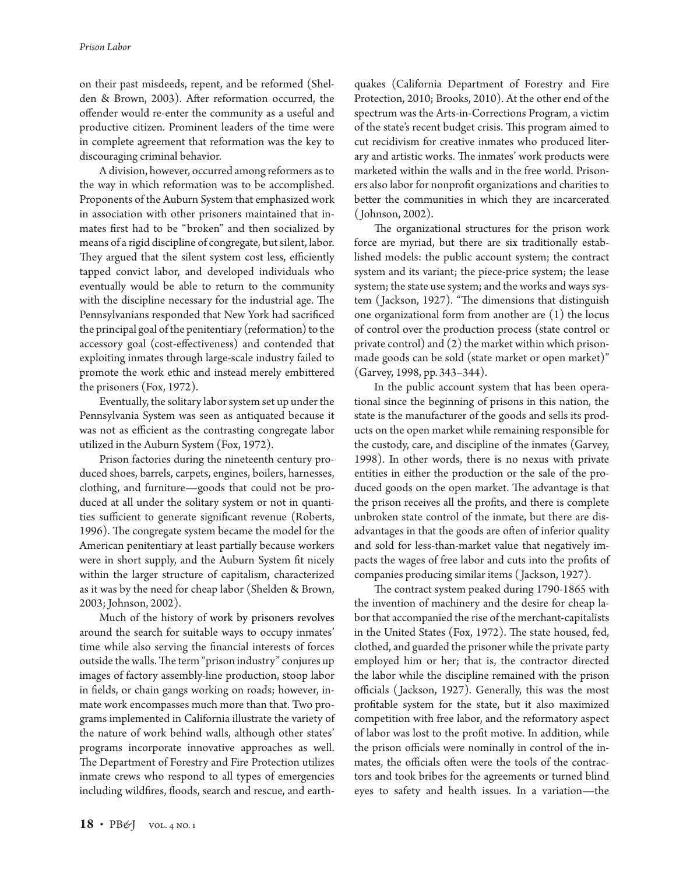on their past misdeeds, repent, and be reformed (Shelden & Brown, 2003). After reformation occurred, the offender would re-enter the community as a useful and productive citizen. Prominent leaders of the time were in complete agreement that reformation was the key to discouraging criminal behavior.

A division, however, occurred among reformers as to the way in which reformation was to be accomplished. Proponents of the Auburn System that emphasized work in association with other prisoners maintained that inmates first had to be "broken" and then socialized by means of a rigid discipline of congregate, but silent, labor. They argued that the silent system cost less, efficiently tapped convict labor, and developed individuals who eventually would be able to return to the community with the discipline necessary for the industrial age. The Pennsylvanians responded that New York had sacrificed the principal goal of the penitentiary (reformation) to the accessory goal (cost-effectiveness) and contended that exploiting inmates through large-scale industry failed to promote the work ethic and instead merely embittered the prisoners (Fox, 1972).

Eventually, the solitary labor system set up under the Pennsylvania System was seen as antiquated because it was not as efficient as the contrasting congregate labor utilized in the Auburn System (Fox, 1972).

Prison factories during the nineteenth century produced shoes, barrels, carpets, engines, boilers, harnesses, clothing, and furniture—goods that could not be produced at all under the solitary system or not in quantities sufficient to generate significant revenue (Roberts, 1996). The congregate system became the model for the American penitentiary at least partially because workers were in short supply, and the Auburn System fit nicely within the larger structure of capitalism, characterized as it was by the need for cheap labor (Shelden & Brown, 2003; Johnson, 2002).

Much of the history of work by prisoners revolves around the search for suitable ways to occupy inmates' time while also serving the financial interests of forces outside the walls. The term "prison industry" conjures up images of factory assembly-line production, stoop labor in fields, or chain gangs working on roads; however, inmate work encompasses much more than that. Two programs implemented in California illustrate the variety of the nature of work behind walls, although other states' programs incorporate innovative approaches as well. The Department of Forestry and Fire Protection utilizes inmate crews who respond to all types of emergencies including wildfires, floods, search and rescue, and earth-

quakes (California Department of Forestry and Fire Protection, 2010; Brooks, 2010). At the other end of the spectrum was the Arts-in-Corrections Program, a victim of the state's recent budget crisis. This program aimed to cut recidivism for creative inmates who produced literary and artistic works. The inmates' work products were marketed within the walls and in the free world. Prisoners also labor for nonprofit organizations and charities to better the communities in which they are incarcerated ( Johnson, 2002).

The organizational structures for the prison work force are myriad, but there are six traditionally established models: the public account system; the contract system and its variant; the piece-price system; the lease system; the state use system; and the works and ways system ( Jackson, 1927). "The dimensions that distinguish one organizational form from another are (1) the locus of control over the production process (state control or private control) and (2) the market within which prisonmade goods can be sold (state market or open market)" (Garvey, 1998, pp. 343–344).

In the public account system that has been operational since the beginning of prisons in this nation, the state is the manufacturer of the goods and sells its products on the open market while remaining responsible for the custody, care, and discipline of the inmates (Garvey, 1998). In other words, there is no nexus with private entities in either the production or the sale of the produced goods on the open market. The advantage is that the prison receives all the profits, and there is complete unbroken state control of the inmate, but there are disadvantages in that the goods are often of inferior quality and sold for less-than-market value that negatively impacts the wages of free labor and cuts into the profits of companies producing similar items ( Jackson, 1927).

The contract system peaked during 1790-1865 with the invention of machinery and the desire for cheap labor that accompanied the rise of the merchant-capitalists in the United States (Fox, 1972). The state housed, fed, clothed, and guarded the prisoner while the private party employed him or her; that is, the contractor directed the labor while the discipline remained with the prison officials ( Jackson, 1927). Generally, this was the most profitable system for the state, but it also maximized competition with free labor, and the reformatory aspect of labor was lost to the profit motive. In addition, while the prison officials were nominally in control of the inmates, the officials often were the tools of the contractors and took bribes for the agreements or turned blind eyes to safety and health issues. In a variation—the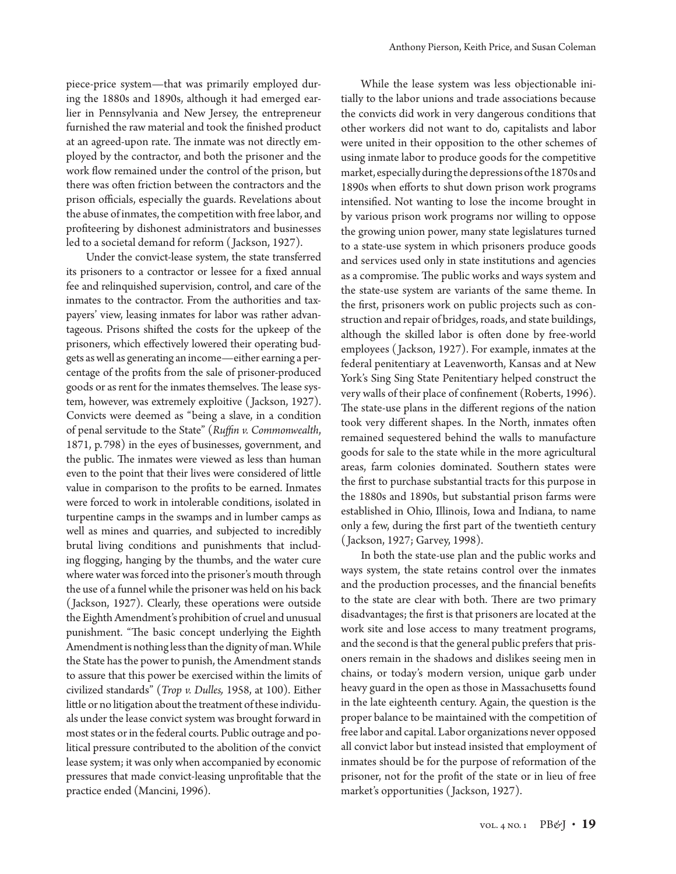piece-price system—that was primarily employed during the 1880s and 1890s, although it had emerged earlier in Pennsylvania and New Jersey, the entrepreneur furnished the raw material and took the finished product at an agreed-upon rate. The inmate was not directly employed by the contractor, and both the prisoner and the work flow remained under the control of the prison, but there was often friction between the contractors and the prison officials, especially the guards. Revelations about the abuse of inmates, the competition with free labor, and profiteering by dishonest administrators and businesses led to a societal demand for reform ( Jackson, 1927).

Under the convict-lease system, the state transferred its prisoners to a contractor or lessee for a fixed annual fee and relinquished supervision, control, and care of the inmates to the contractor. From the authorities and taxpayers' view, leasing inmates for labor was rather advantageous. Prisons shifted the costs for the upkeep of the prisoners, which effectively lowered their operating budgets as well as generating an income—either earning a percentage of the profits from the sale of prisoner-produced goods or as rent for the inmates themselves. The lease system, however, was extremely exploitive ( Jackson, 1927). Convicts were deemed as "being a slave, in a condition of penal servitude to the State" (*Ruffin v. Commonwealth*, 1871, p.798) in the eyes of businesses, government, and the public. The inmates were viewed as less than human even to the point that their lives were considered of little value in comparison to the profits to be earned. Inmates were forced to work in intolerable conditions, isolated in turpentine camps in the swamps and in lumber camps as well as mines and quarries, and subjected to incredibly brutal living conditions and punishments that including flogging, hanging by the thumbs, and the water cure where water was forced into the prisoner's mouth through the use of a funnel while the prisoner was held on his back ( Jackson, 1927). Clearly, these operations were outside the Eighth Amendment's prohibition of cruel and unusual punishment. "The basic concept underlying the Eighth Amendment is nothing less than the dignity of man. While the State has the power to punish, the Amendment stands to assure that this power be exercised within the limits of civilized standards" (*Trop v. Dulles,* 1958, at 100). Either little or no litigation about the treatment of these individuals under the lease convict system was brought forward in most states or in the federal courts. Public outrage and political pressure contributed to the abolition of the convict lease system; it was only when accompanied by economic pressures that made convict-leasing unprofitable that the practice ended (Mancini, 1996).

While the lease system was less objectionable initially to the labor unions and trade associations because the convicts did work in very dangerous conditions that other workers did not want to do, capitalists and labor were united in their opposition to the other schemes of using inmate labor to produce goods for the competitive market, especially during the depressions of the 1870s and 1890s when efforts to shut down prison work programs intensified. Not wanting to lose the income brought in by various prison work programs nor willing to oppose the growing union power, many state legislatures turned to a state-use system in which prisoners produce goods and services used only in state institutions and agencies as a compromise. The public works and ways system and the state-use system are variants of the same theme. In the first, prisoners work on public projects such as construction and repair of bridges, roads, and state buildings, although the skilled labor is often done by free-world employees ( Jackson, 1927). For example, inmates at the federal penitentiary at Leavenworth, Kansas and at New York's Sing Sing State Penitentiary helped construct the very walls of their place of confinement (Roberts, 1996). The state-use plans in the different regions of the nation took very different shapes. In the North, inmates often remained sequestered behind the walls to manufacture goods for sale to the state while in the more agricultural areas, farm colonies dominated. Southern states were the first to purchase substantial tracts for this purpose in the 1880s and 1890s, but substantial prison farms were established in Ohio, Illinois, Iowa and Indiana, to name only a few, during the first part of the twentieth century ( Jackson, 1927; Garvey, 1998).

In both the state-use plan and the public works and ways system, the state retains control over the inmates and the production processes, and the financial benefits to the state are clear with both. There are two primary disadvantages; the first is that prisoners are located at the work site and lose access to many treatment programs, and the second is that the general public prefers that prisoners remain in the shadows and dislikes seeing men in chains, or today's modern version, unique garb under heavy guard in the open as those in Massachusetts found in the late eighteenth century. Again, the question is the proper balance to be maintained with the competition of free labor and capital. Labor organizations never opposed all convict labor but instead insisted that employment of inmates should be for the purpose of reformation of the prisoner, not for the profit of the state or in lieu of free market's opportunities ( Jackson, 1927).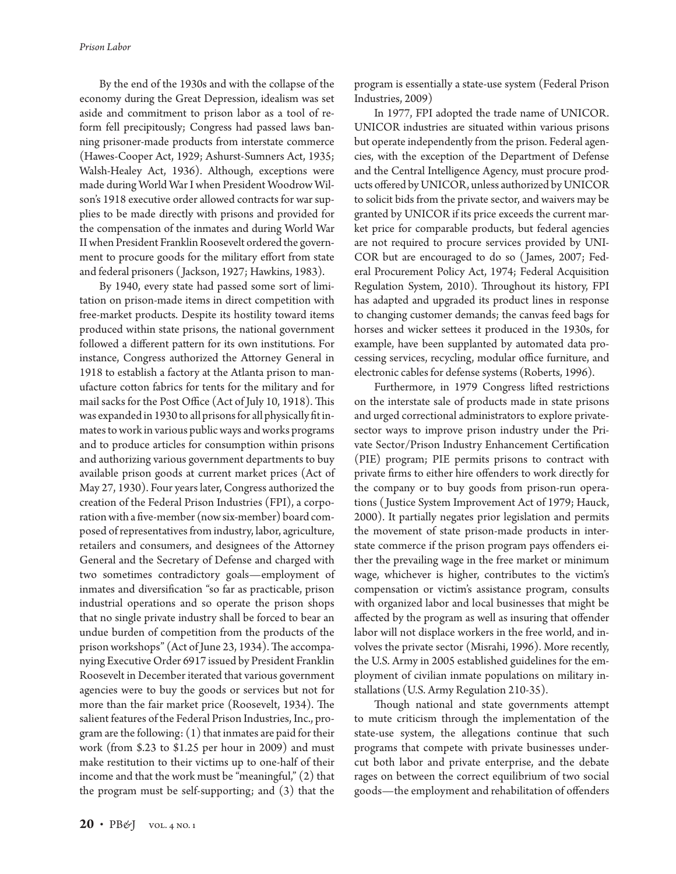By the end of the 1930s and with the collapse of the economy during the Great Depression, idealism was set aside and commitment to prison labor as a tool of reform fell precipitously; Congress had passed laws banning prisoner-made products from interstate commerce (Hawes-Cooper Act, 1929; Ashurst-Sumners Act, 1935; Walsh-Healey Act, 1936). Although, exceptions were made during World War I when President Woodrow Wilson's 1918 executive order allowed contracts for war supplies to be made directly with prisons and provided for the compensation of the inmates and during World War II when President Franklin Roosevelt ordered the government to procure goods for the military effort from state and federal prisoners ( Jackson, 1927; Hawkins, 1983).

By 1940, every state had passed some sort of limitation on prison-made items in direct competition with free-market products. Despite its hostility toward items produced within state prisons, the national government followed a different pattern for its own institutions. For instance, Congress authorized the Attorney General in 1918 to establish a factory at the Atlanta prison to manufacture cotton fabrics for tents for the military and for mail sacks for the Post Office (Act of July 10, 1918). This was expanded in 1930 to all prisons for all physically fit inmates to work in various public ways and works programs and to produce articles for consumption within prisons and authorizing various government departments to buy available prison goods at current market prices (Act of May 27, 1930). Four years later, Congress authorized the creation of the Federal Prison Industries (FPI), a corporation with a five-member (now six-member) board composed of representatives from industry, labor, agriculture, retailers and consumers, and designees of the Attorney General and the Secretary of Defense and charged with two sometimes contradictory goals—employment of inmates and diversification "so far as practicable, prison industrial operations and so operate the prison shops that no single private industry shall be forced to bear an undue burden of competition from the products of the prison workshops" (Act of June 23, 1934). The accompanying Executive Order 6917 issued by President Franklin Roosevelt in December iterated that various government agencies were to buy the goods or services but not for more than the fair market price (Roosevelt, 1934). The salient features of the Federal Prison Industries, Inc., program are the following: (1) that inmates are paid for their work (from \$.23 to \$1.25 per hour in 2009) and must make restitution to their victims up to one-half of their income and that the work must be "meaningful," (2) that the program must be self-supporting; and (3) that the

program is essentially a state-use system (Federal Prison Industries, 2009)

In 1977, FPI adopted the trade name of UNICOR. UNICOR industries are situated within various prisons but operate independently from the prison. Federal agencies, with the exception of the Department of Defense and the Central Intelligence Agency, must procure products offered by UNICOR, unless authorized by UNICOR to solicit bids from the private sector, and waivers may be granted by UNICOR if its price exceeds the current market price for comparable products, but federal agencies are not required to procure services provided by UNI-COR but are encouraged to do so ( James, 2007; Federal Procurement Policy Act, 1974; Federal Acquisition Regulation System, 2010). Throughout its history, FPI has adapted and upgraded its product lines in response to changing customer demands; the canvas feed bags for horses and wicker settees it produced in the 1930s, for example, have been supplanted by automated data processing services, recycling, modular office furniture, and electronic cables for defense systems (Roberts, 1996).

Furthermore, in 1979 Congress lifted restrictions on the interstate sale of products made in state prisons and urged correctional administrators to explore privatesector ways to improve prison industry under the Private Sector/Prison Industry Enhancement Certification (PIE) program; PIE permits prisons to contract with private firms to either hire offenders to work directly for the company or to buy goods from prison-run operations ( Justice System Improvement Act of 1979; Hauck, 2000). It partially negates prior legislation and permits the movement of state prison-made products in interstate commerce if the prison program pays offenders either the prevailing wage in the free market or minimum wage, whichever is higher, contributes to the victim's compensation or victim's assistance program, consults with organized labor and local businesses that might be affected by the program as well as insuring that offender labor will not displace workers in the free world, and involves the private sector (Misrahi, 1996). More recently, the U.S. Army in 2005 established guidelines for the employment of civilian inmate populations on military installations (U.S. Army Regulation 210-35).

Though national and state governments attempt to mute criticism through the implementation of the state-use system, the allegations continue that such programs that compete with private businesses undercut both labor and private enterprise, and the debate rages on between the correct equilibrium of two social goods—the employment and rehabilitation of offenders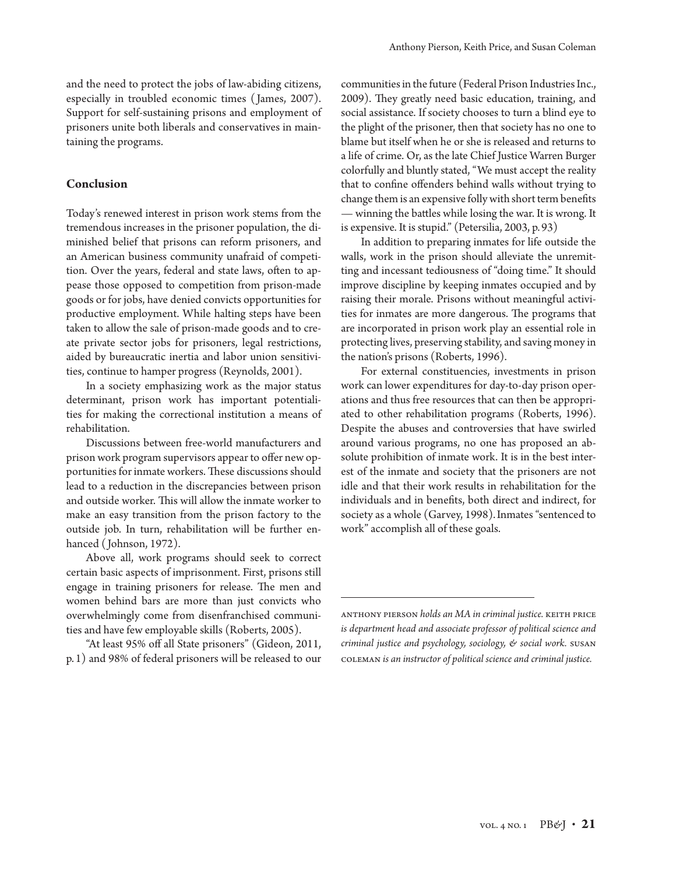and the need to protect the jobs of law-abiding citizens, especially in troubled economic times ( James, 2007). Support for self-sustaining prisons and employment of prisoners unite both liberals and conservatives in maintaining the programs.

### **Conclusion**

Today's renewed interest in prison work stems from the tremendous increases in the prisoner population, the diminished belief that prisons can reform prisoners, and an American business community unafraid of competition. Over the years, federal and state laws, often to appease those opposed to competition from prison-made goods or for jobs, have denied convicts opportunities for productive employment. While halting steps have been taken to allow the sale of prison-made goods and to create private sector jobs for prisoners, legal restrictions, aided by bureaucratic inertia and labor union sensitivities, continue to hamper progress (Reynolds, 2001).

In a society emphasizing work as the major status determinant, prison work has important potentialities for making the correctional institution a means of rehabilitation.

Discussions between free-world manufacturers and prison work program supervisors appear to offer new opportunities for inmate workers. These discussions should lead to a reduction in the discrepancies between prison and outside worker. This will allow the inmate worker to make an easy transition from the prison factory to the outside job. In turn, rehabilitation will be further enhanced ( Johnson, 1972).

Above all, work programs should seek to correct certain basic aspects of imprisonment. First, prisons still engage in training prisoners for release. The men and women behind bars are more than just convicts who overwhelmingly come from disenfranchised communities and have few employable skills (Roberts, 2005).

"At least 95% off all State prisoners" (Gideon, 2011, p.1) and 98% of federal prisoners will be released to our

communities in the future (Federal Prison Industries Inc., 2009). They greatly need basic education, training, and social assistance. If society chooses to turn a blind eye to the plight of the prisoner, then that society has no one to blame but itself when he or she is released and returns to a life of crime. Or, as the late Chief Justice Warren Burger colorfully and bluntly stated, "We must accept the reality that to confine offenders behind walls without trying to change them is an expensive folly with short term benefits — winning the battles while losing the war. It is wrong. It is expensive. It is stupid." (Petersilia, 2003, p. 93)

In addition to preparing inmates for life outside the walls, work in the prison should alleviate the unremitting and incessant tediousness of "doing time." It should improve discipline by keeping inmates occupied and by raising their morale. Prisons without meaningful activities for inmates are more dangerous. The programs that are incorporated in prison work play an essential role in protecting lives, preserving stability, and saving money in the nation's prisons (Roberts, 1996).

For external constituencies, investments in prison work can lower expenditures for day-to-day prison operations and thus free resources that can then be appropriated to other rehabilitation programs (Roberts, 1996). Despite the abuses and controversies that have swirled around various programs, no one has proposed an absolute prohibition of inmate work. It is in the best interest of the inmate and society that the prisoners are not idle and that their work results in rehabilitation for the individuals and in benefits, both direct and indirect, for society as a whole (Garvey, 1998).Inmates "sentenced to work" accomplish all of these goals.

anthony pierson *holds an MA in criminal justice.* keith price *is department head and associate professor of political science and criminal justice and psychology, sociology, & social work.* susan coleman *is an instructor of political science and criminal justice.*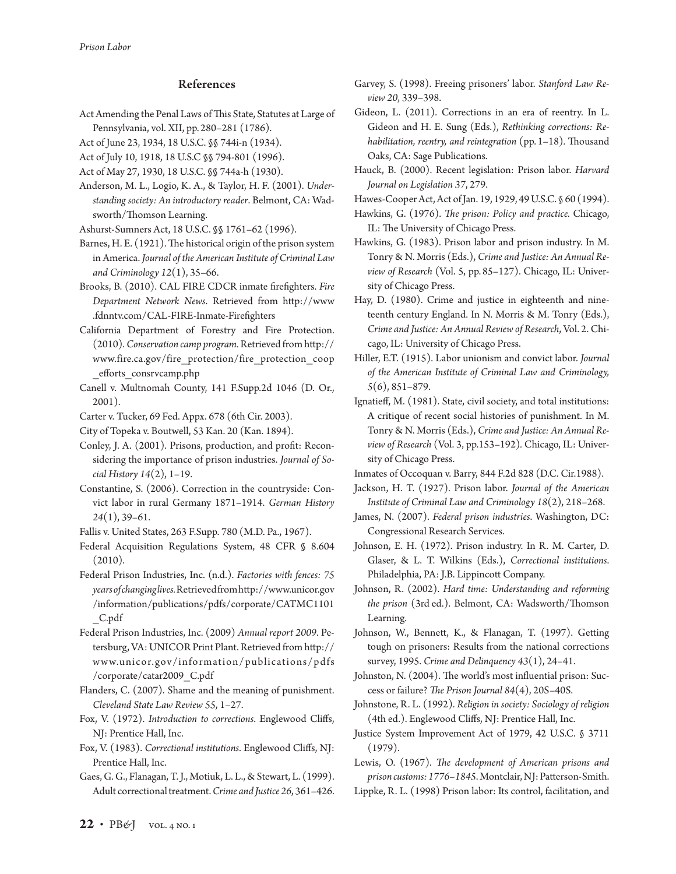# References

Act Amending the Penal Laws of This State, Statutes at Large of Pennsylvania, vol. XII, pp. 280–281 (1786).

Act of June 23, 1934, 18 U.S.C. §§ 744i-n (1934).

- Act of July 10, 1918, 18 U.S.C §§ 794-801 (1996).
- Act of May 27, 1930, 18 U.S.C. §§ 744a-h (1930).
- Anderson, M. L., Logio, K. A., & Taylor, H. F. (2001). *Understanding society: An introductory reader*. Belmont, CA: Wadsworth/Thomson Learning.
- Ashurst-Sumners Act, 18 U.S.C. §§ 1761–62 (1996).
- Barnes, H. E. (1921). The historical origin of the prison system in America. *Journal of the American Institute of Criminal Law and Criminology 12*(1), 35–66.
- Brooks, B. (2010). CAL FIRE CDCR inmate firefighters. *Fire Department Network News*. Retrieved from http://www .fdnntv.com/CAL-FIRE-Inmate-Firefighters
- California Department of Forestry and Fire Protection. (2010). *Conservation camp program.* Retrieved from http:// www.fire.ca.gov/fire\_protection/fire\_protection\_coop \_efforts\_consrvcamp.php
- Canell v. Multnomah County, 141 F.Supp.2d 1046 (D. Or., 2001).
- Carter v. Tucker, 69 Fed. Appx. 678 (6th Cir. 2003).
- City of Topeka v. Boutwell, 53 Kan. 20 (Kan. 1894).
- Conley, J. A. (2001). Prisons, production, and profit: Reconsidering the importance of prison industries. *Journal of Social History 14*(2), 1–19.
- Constantine, S. (2006). Correction in the countryside: Convict labor in rural Germany 1871–1914. *German History 24*(1), 39–61.
- Fallis v. United States, 263 F.Supp. 780 (M.D. Pa., 1967).
- Federal Acquisition Regulations System, 48 CFR § 8.604 (2010).
- Federal Prison Industries, Inc. (n.d.). *Factories with fences: 75 years of changing lives.* Retrieved from http://www.unicor.gov /information/publications/pdfs/corporate/CATMC1101 \_C.pdf

Federal Prison Industries, Inc. (2009) *Annual report 2009*. Petersburg, VA: UNICOR Print Plant. Retrieved from http:// www.unicor.gov/information/publications/pdfs /corporate/catar2009\_C.pdf

- Flanders, C. (2007). Shame and the meaning of punishment. *Cleveland State Law Review 55*, 1–27.
- Fox, V. (1972). *Introduction to corrections*. Englewood Cliffs, NJ: Prentice Hall, Inc.
- Fox, V. (1983). *Correctional institutions*. Englewood Cliffs, NJ: Prentice Hall, Inc.
- Gaes, G. G., Flanagan, T. J., Motiuk, L. L., & Stewart, L. (1999). Adult correctional treatment. *Crime and Justice 26*, 361–426.
- Garvey, S. (1998). Freeing prisoners' labor. *Stanford Law Review 20*, 339–398.
- Gideon, L. (2011). Corrections in an era of reentry. In L. Gideon and H. E. Sung (Eds.), *Rethinking corrections: Rehabilitation, reentry, and reintegration* (pp. 1–18)*.* Thousand Oaks, CA: Sage Publications.
- Hauck, B. (2000). Recent legislation: Prison labor. *Harvard Journal on Legislation 37*, 279.
- Hawes-Cooper Act, Act of Jan. 19, 1929, 49 U.S.C. § 60 (1994).

Hawkins, G. (1976). *The prison: Policy and practice.* Chicago, IL: The University of Chicago Press.

Hawkins, G. (1983). Prison labor and prison industry. In M. Tonry & N. Morris (Eds.), *Crime and Justice: An Annual Review of Research* (Vol. 5, pp. 85–127). Chicago, IL: University of Chicago Press.

- Hay, D. (1980). Crime and justice in eighteenth and nineteenth century England. In N. Morris & M. Tonry (Eds.), *Crime and Justice: An Annual Review of Research*, Vol. 2. Chicago, IL: University of Chicago Press.
- Hiller, E.T. (1915). Labor unionism and convict labor. *Journal of the American Institute of Criminal Law and Criminology, 5*(6), 851–879.
- Ignatieff, M. (1981). State, civil society, and total institutions: A critique of recent social histories of punishment. In M. Tonry & N. Morris (Eds.), *Crime and Justice: An Annual Review of Research* (Vol. 3, pp.153–192)*.* Chicago, IL: University of Chicago Press.
- Inmates of Occoquan v. Barry, 844 F.2d 828 (D.C. Cir.1988).
- Jackson, H. T. (1927). Prison labor. *Journal of the American Institute of Criminal Law and Criminology 18*(2), 218–268.
- James, N. (2007). *Federal prison industries*. Washington, DC: Congressional Research Services.
- Johnson, E. H. (1972). Prison industry. In R. M. Carter, D. Glaser, & L. T. Wilkins (Eds.), *Correctional institutions*. Philadelphia, PA: J.B. Lippincott Company.
- Johnson, R. (2002). *Hard time: Understanding and reforming the prison* (3rd ed.). Belmont, CA: Wadsworth/Thomson Learning.
- Johnson, W., Bennett, K., & Flanagan, T. (1997). Getting tough on prisoners: Results from the national corrections survey, 1995. *Crime and Delinquency 43*(1), 24–41.
- Johnston, N. (2004). The world's most influential prison: Success or failure? *The Prison Journal 84*(4), 20S–40S.
- Johnstone, R. L. (1992). *Religion in society: Sociology of religion*  (4th ed.). Englewood Cliffs, NJ: Prentice Hall, Inc.
- Justice System Improvement Act of 1979, 42 U.S.C. § 3711 (1979).

Lewis, O. (1967). *The development of American prisons and prison customs: 1776–1845*. Montclair, NJ: Patterson-Smith.

Lippke, R. L. (1998) Prison labor: Its control, facilitation, and